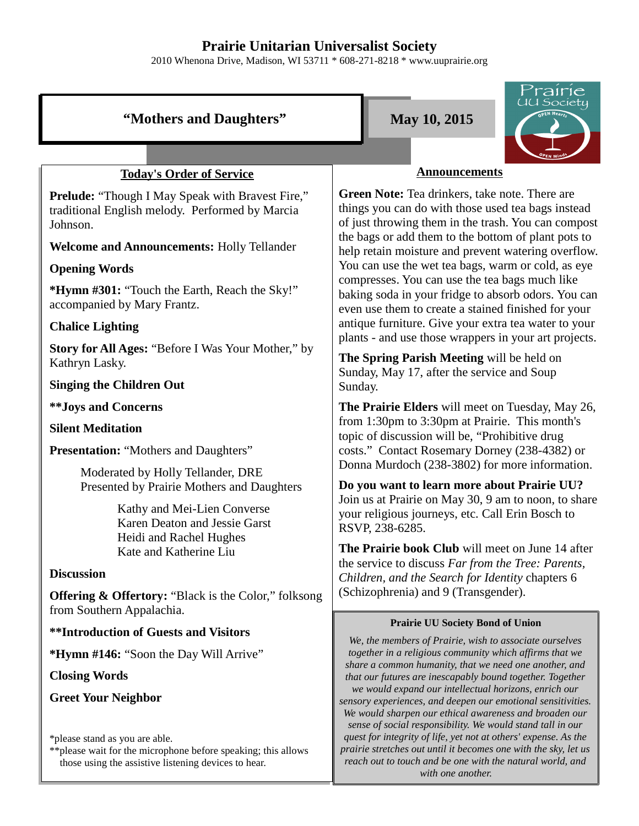# **Prairie Unitarian Universalist Society**

2010 Whenona Drive, Madison, WI 53711 \* 608-271-8218 \* www.uuprairie.org

# **"Mothers and Daughters" May 10, 2015**



# **Today's Order of Service**

**Prelude:** "Though I May Speak with Bravest Fire," traditional English melody. Performed by Marcia Johnson.

**Welcome and Announcements:** Holly Tellander

# **Opening Words**

**\*Hymn #301:** "Touch the Earth, Reach the Sky!" accompanied by Mary Frantz.

# **Chalice Lighting**

**Story for All Ages:** "Before I Was Your Mother," by Kathryn Lasky.

# **Singing the Children Out**

**\*\*Joys and Concerns**

# **Silent Meditation**

**Presentation:** "Mothers and Daughters"

Moderated by Holly Tellander, DRE Presented by Prairie Mothers and Daughters

> Kathy and Mei-Lien Converse Karen Deaton and Jessie Garst Heidi and Rachel Hughes Kate and Katherine Liu

# **Discussion**

**Offering & Offertory:** "Black is the Color," folksong from Southern Appalachia.

**\*\*Introduction of Guests and Visitors**

**\*Hymn #146:** "Soon the Day Will Arrive"

**Closing Words**

**Greet Your Neighbor**

\*please stand as you are able.

\*\*please wait for the microphone before speaking; this allows those using the assistive listening devices to hear.

## **Announcements**

**Green Note:** Tea drinkers, take note. There are things you can do with those used tea bags instead of just throwing them in the trash. You can compost the bags or add them to the bottom of plant pots to help retain moisture and prevent watering overflow. You can use the wet tea bags, warm or cold, as eye compresses. You can use the tea bags much like baking soda in your fridge to absorb odors. You can even use them to create a stained finished for your antique furniture. Give your extra tea water to your plants - and use those wrappers in your art projects.

**The Spring Parish Meeting** will be held on Sunday, May 17, after the service and Soup Sunday.

**The Prairie Elders** will meet on Tuesday, May 26, from 1:30pm to 3:30pm at Prairie. This month's topic of discussion will be, "Prohibitive drug costs." Contact Rosemary Dorney (238-4382) or Donna Murdoch (238-3802) for more information.

**Do you want to learn more about Prairie UU?** Join us at Prairie on May 30, 9 am to noon, to share your religious journeys, etc. Call Erin Bosch to RSVP, 238-6285.

**The Prairie book Club** will meet on June 14 after the service to discuss *Far from the Tree: Parents, Children, and the Search for Identity* chapters 6 (Schizophrenia) and 9 (Transgender).

#### **Prairie UU Society Bond of Union**

*We, the members of Prairie, wish to associate ourselves together in a religious community which affirms that we share a common humanity, that we need one another, and that our futures are inescapably bound together. Together we would expand our intellectual horizons, enrich our sensory experiences, and deepen our emotional sensitivities. We would sharpen our ethical awareness and broaden our sense of social responsibility. We would stand tall in our quest for integrity of life, yet not at others' expense. As the prairie stretches out until it becomes one with the sky, let us reach out to touch and be one with the natural world, and with one another.*